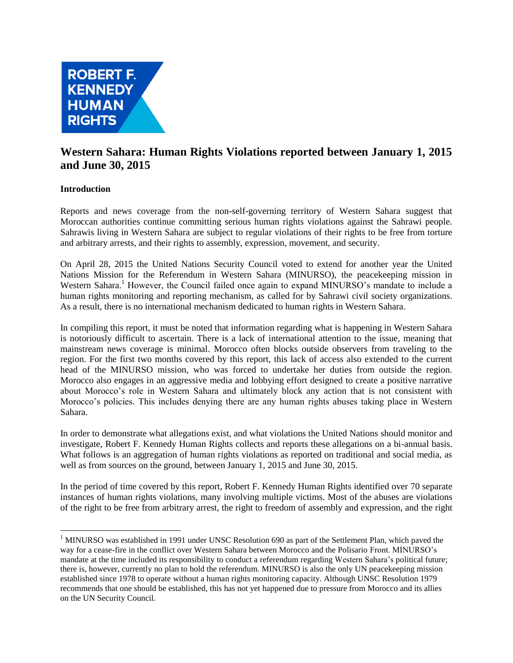

# **Western Sahara: Human Rights Violations reported between January 1, 2015 and June 30, 2015**

## **Introduction**

Reports and news coverage from the non-self-governing territory of Western Sahara suggest that Moroccan authorities continue committing serious human rights violations against the Sahrawi people. Sahrawis living in Western Sahara are subject to regular violations of their rights to be free from torture and arbitrary arrests, and their rights to assembly, expression, movement, and security.

On April 28, 2015 the United Nations Security Council voted to extend for another year the United Nations Mission for the Referendum in Western Sahara (MINURSO), the peacekeeping mission in Western Sahara.<sup>1</sup> However, the Council failed once again to expand MINURSO's mandate to include a human rights monitoring and reporting mechanism, as called for by Sahrawi civil society organizations. As a result, there is no international mechanism dedicated to human rights in Western Sahara.

In compiling this report, it must be noted that information regarding what is happening in Western Sahara is notoriously difficult to ascertain. There is a lack of international attention to the issue, meaning that mainstream news coverage is minimal. Morocco often blocks outside observers from traveling to the region. For the first two months covered by this report, this lack of access also extended to the current head of the MINURSO mission, who was forced to undertake her duties from outside the region. Morocco also engages in an aggressive media and lobbying effort designed to create a positive narrative about Morocco's role in Western Sahara and ultimately block any action that is not consistent with Morocco's policies. This includes denying there are any human rights abuses taking place in Western Sahara.

In order to demonstrate what allegations exist, and what violations the United Nations should monitor and investigate, Robert F. Kennedy Human Rights collects and reports these allegations on a bi-annual basis. What follows is an aggregation of human rights violations as reported on traditional and social media, as well as from sources on the ground, between January 1, 2015 and June 30, 2015.

In the period of time covered by this report, Robert F. Kennedy Human Rights identified over 70 separate instances of human rights violations, many involving multiple victims. Most of the abuses are violations of the right to be free from arbitrary arrest, the right to freedom of assembly and expression, and the right

 $\overline{a}$ <sup>1</sup> MINURSO was established in 1991 under UNSC Resolution 690 as part of the Settlement Plan, which paved the way for a cease-fire in the conflict over Western Sahara between Morocco and the Polisario Front. MINURSO's mandate at the time included its responsibility to conduct a referendum regarding Western Sahara's political future; there is, however, currently no plan to hold the referendum. MINURSO is also the only UN peacekeeping mission established since 1978 to operate without a human rights monitoring capacity. Although UNSC Resolution 1979 recommends that one should be established, this has not yet happened due to pressure from Morocco and its allies on the UN Security Council.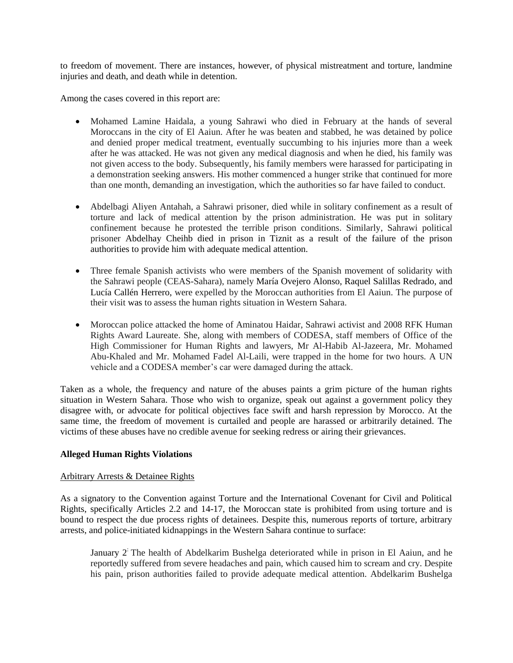to freedom of movement. There are instances, however, of physical mistreatment and torture, landmine injuries and death, and death while in detention.

Among the cases covered in this report are:

- Mohamed Lamine Haidala, a young Sahrawi who died in February at the hands of several Moroccans in the city of El Aaiun. After he was beaten and stabbed, he was detained by police and denied proper medical treatment, eventually succumbing to his injuries more than a week after he was attacked. He was not given any medical diagnosis and when he died, his family was not given access to the body. Subsequently, his family members were harassed for participating in a demonstration seeking answers. His mother commenced a hunger strike that continued for more than one month, demanding an investigation, which the authorities so far have failed to conduct.
- Abdelbagi Aliyen Antahah, a Sahrawi prisoner, died while in solitary confinement as a result of torture and lack of medical attention by the prison administration. He was put in solitary confinement because he protested the terrible prison conditions. Similarly, Sahrawi political prisoner Abdelhay Cheihb died in prison in Tiznit as a result of the failure of the prison authorities to provide him with adequate medical attention.
- Three female Spanish activists who were members of the Spanish movement of solidarity with the Sahrawi people (CEAS-Sahara), namely María Ovejero Alonso, Raquel Salillas Redrado, and Lucía Callén Herrero, were expelled by the Moroccan authorities from El Aaiun. The purpose of their visit was to assess the human rights situation in Western Sahara.
- Moroccan police attacked the home of Aminatou Haidar, Sahrawi activist and 2008 RFK Human Rights Award Laureate. She, along with members of CODESA, staff members of Office of the High Commissioner for Human Rights and lawyers, Mr Al-Habib Al-Jazeera, Mr. Mohamed Abu-Khaled and Mr. Mohamed Fadel Al-Laili, were trapped in the home for two hours. A UN vehicle and a CODESA member's car were damaged during the attack.

Taken as a whole, the frequency and nature of the abuses paints a grim picture of the human rights situation in Western Sahara. Those who wish to organize, speak out against a government policy they disagree with, or advocate for political objectives face swift and harsh repression by Morocco. At the same time, the freedom of movement is curtailed and people are harassed or arbitrarily detained. The victims of these abuses have no credible avenue for seeking redress or airing their grievances.

### **Alleged Human Rights Violations**

### Arbitrary Arrests & Detainee Rights

As a signatory to the Convention against Torture and the International Covenant for Civil and Political Rights, specifically Articles 2.2 and 14-17, the Moroccan state is prohibited from using torture and is bound to respect the due process rights of detainees. Despite this, numerous reports of torture, arbitrary arrests, and police-initiated kidnappings in the Western Sahara continue to surface:

January 2: The health of Abdelkarim Bushelga deteriorated while in prison in El Aaiun, and he reportedly suffered from severe headaches and pain, which caused him to scream and cry. Despite his pain, prison authorities failed to provide adequate medical attention. Abdelkarim Bushelga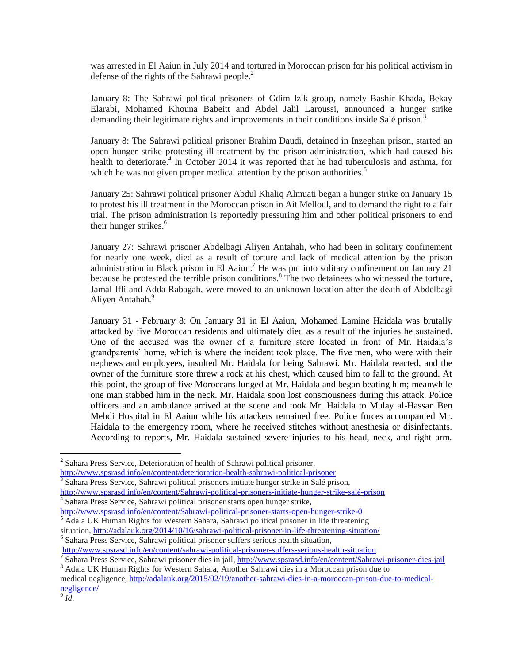was arrested in El Aaiun in July 2014 and tortured in Moroccan prison for his political activism in defense of the rights of the Sahrawi people. $<sup>2</sup>$ </sup>

January 8: The Sahrawi political prisoners of Gdim Izik group, namely Bashir Khada, Bekay Elarabi, Mohamed Khouna Babeitt and Abdel Jalil Laroussi, announced a hunger strike demanding their legitimate rights and improvements in their conditions inside Salé prison.<sup>3</sup>

January 8: The Sahrawi political prisoner Brahim Daudi, detained in Inzeghan prison, started an open hunger strike protesting ill-treatment by the prison administration, which had caused his health to deteriorate.<sup>4</sup> In October 2014 it was reported that he had tuberculosis and asthma, for which he was not given proper medical attention by the prison authorities.<sup>5</sup>

January 25: Sahrawi political prisoner Abdul Khaliq Almuati began a hunger strike on January 15 to protest his ill treatment in the Moroccan prison in Ait Melloul, and to demand the right to a fair trial. The prison administration is reportedly pressuring him and other political prisoners to end their hunger strikes.<sup>6</sup>

January 27: Sahrawi prisoner Abdelbagi Aliyen Antahah, who had been in solitary confinement for nearly one week, died as a result of torture and lack of medical attention by the prison administration in Black prison in El Aaiun.<sup>7</sup> He was put into solitary confinement on January 21 because he protested the terrible prison conditions.<sup>8</sup> The two detainees who witnessed the torture, Jamal Ifli and Adda Rabagah, were moved to an unknown location after the death of Abdelbagi Aliyen Antahah.<sup>9</sup>

January 31 - February 8: On January 31 in El Aaiun, Mohamed Lamine Haidala was brutally attacked by five Moroccan residents and ultimately died as a result of the injuries he sustained. One of the accused was the owner of a furniture store located in front of Mr. Haidala's grandparents' home, which is where the incident took place. The five men, who were with their nephews and employees, insulted Mr. Haidala for being Sahrawi. Mr. Haidala reacted, and the owner of the furniture store threw a rock at his chest, which caused him to fall to the ground. At this point, the group of five Moroccans lunged at Mr. Haidala and began beating him; meanwhile one man stabbed him in the neck. Mr. Haidala soon lost consciousness during this attack. Police officers and an ambulance arrived at the scene and took Mr. Haidala to Mulay al-Hassan Ben Mehdi Hospital in El Aaiun while his attackers remained free. Police forces accompanied Mr. Haidala to the emergency room, where he received stitches without anesthesia or disinfectants. According to reports, Mr. Haidala sustained severe injuries to his head, neck, and right arm.

<sup>3</sup> Sahara Press Service, Sahrawi political prisoners initiate hunger strike in Salé prison, [http://www.spsrasd.info/en/content/Sahrawi-political-prisoners-initiate-hunger-strike-salé-prison](http://www.spsrasd.info/en/content/saharawi-political-prisoners-initiate-hunger-strike-salé-prison)

[http://www.spsrasd.info/en/content/Sahrawi-political-prisoner-starts-open-hunger-strike-0](http://www.spsrasd.info/en/content/saharawi-political-prisoner-starts-open-hunger-strike-0) <sup>5</sup> Adala UK Human Rights for Western Sahara, Sahrawi political prisoner in life threatening

situation, <http://adalauk.org/2014/10/16/sahrawi-political-prisoner-in-life-threatening-situation/>

6 Sahara Press Service, Sahrawi political prisoner suffers serious health situation,

<http://www.spsrasd.info/en/content/sahrawi-political-prisoner-suffers-serious-health-situation>

<sup>&</sup>lt;sup>2</sup> Sahara Press Service, Deterioration of health of Sahrawi political prisoner,

<http://www.spsrasd.info/en/content/deterioration-health-sahrawi-political-prisoner>

<sup>4</sup> Sahara Press Service, Sahrawi political prisoner starts open hunger strike,

<sup>&</sup>lt;sup>7</sup> Sahara Press Service, Sahrawi prisoner dies in jail, [http://www.spsrasd.info/en/content/Sahrawi-prisoner-dies-jail](http://www.spsrasd.info/en/content/saharawi-prisoner-dies-jail)

<sup>&</sup>lt;sup>8</sup> Adala UK Human Rights for Western Sahara, Another Sahrawi dies in a Moroccan prison due to

medical negligence, [http://adalauk.org/2015/02/19/another-sahrawi-dies-in-a-moroccan-prison-due-to-medical](http://adalauk.org/2015/02/19/another-sahrawi-dies-in-a-moroccan-prison-due-to-medical-negligence/)[negligence/](http://adalauk.org/2015/02/19/another-sahrawi-dies-in-a-moroccan-prison-due-to-medical-negligence/)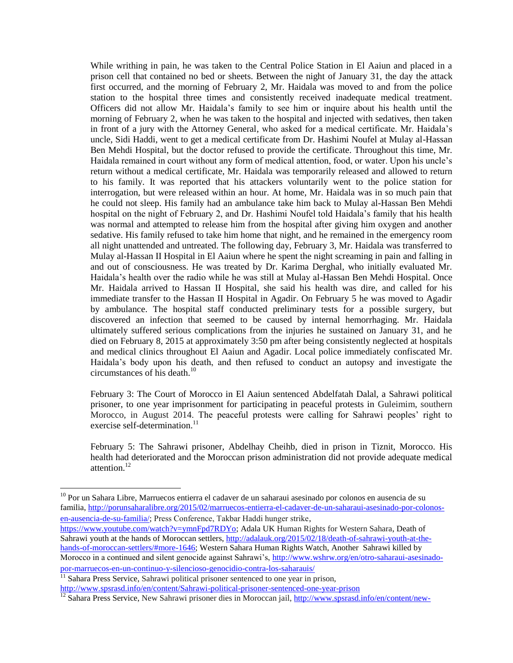While writhing in pain, he was taken to the Central Police Station in El Aaiun and placed in a prison cell that contained no bed or sheets. Between the night of January 31, the day the attack first occurred, and the morning of February 2, Mr. Haidala was moved to and from the police station to the hospital three times and consistently received inadequate medical treatment. Officers did not allow Mr. Haidala's family to see him or inquire about his health until the morning of February 2, when he was taken to the hospital and injected with sedatives, then taken in front of a jury with the Attorney General, who asked for a medical certificate. Mr. Haidala's uncle, Sidi Haddi, went to get a medical certificate from Dr. Hashimi Noufel at Mulay al-Hassan Ben Mehdi Hospital, but the doctor refused to provide the certificate. Throughout this time, Mr. Haidala remained in court without any form of medical attention, food, or water. Upon his uncle's return without a medical certificate, Mr. Haidala was temporarily released and allowed to return to his family. It was reported that his attackers voluntarily went to the police station for interrogation, but were released within an hour. At home, Mr. Haidala was in so much pain that he could not sleep. His family had an ambulance take him back to Mulay al-Hassan Ben Mehdi hospital on the night of February 2, and Dr. Hashimi Noufel told Haidala's family that his health was normal and attempted to release him from the hospital after giving him oxygen and another sedative. His family refused to take him home that night, and he remained in the emergency room all night unattended and untreated. The following day, February 3, Mr. Haidala was transferred to Mulay al-Hassan II Hospital in El Aaiun where he spent the night screaming in pain and falling in and out of consciousness. He was treated by Dr. Karima Derghal, who initially evaluated Mr. Haidala's health over the radio while he was still at Mulay al-Hassan Ben Mehdi Hospital. Once Mr. Haidala arrived to Hassan II Hospital, she said his health was dire, and called for his immediate transfer to the Hassan II Hospital in Agadir. On February 5 he was moved to Agadir by ambulance. The hospital staff conducted preliminary tests for a possible surgery, but discovered an infection that seemed to be caused by internal hemorrhaging. Mr. Haidala ultimately suffered serious complications from the injuries he sustained on January 31, and he died on February 8, 2015 at approximately 3:50 pm after being consistently neglected at hospitals and medical clinics throughout El Aaiun and Agadir. Local police immediately confiscated Mr. Haidala's body upon his death, and then refused to conduct an autopsy and investigate the circumstances of his death.<sup>10</sup>

February 3: The Court of Morocco in El Aaiun sentenced Abdelfatah Dalal, a Sahrawi political prisoner, to one year imprisonment for participating in peaceful protests in Guleimim, southern Morocco, in August 2014. The peaceful protests were calling for Sahrawi peoples' right to exercise self-determination.<sup>11</sup>

February 5: The Sahrawi prisoner, Abdelhay Cheihb, died in prison in Tiznit, Morocco. His health had deteriorated and the Moroccan prison administration did not provide adequate medical attention.<sup>12</sup>

[por-marruecos-en-un-continuo-y-silencioso-genocidio-contra-los-saharauis/](http://www.wshrw.org/en/otro-saharaui-asesinado-por-marruecos-en-un-continuo-y-silencioso-genocidio-contra-los-saharauis/)

 $\overline{a}$ 

<sup>11</sup> Sahara Press Service, Sahrawi political prisoner sentenced to one year in prison, [http://www.spsrasd.info/en/content/Sahrawi-political-prisoner-sentenced-one-year-prison](http://www.spsrasd.info/en/content/saharawi-political-prisoner-sentenced-one-year-prison)

<sup>&</sup>lt;sup>10</sup> Por un Sahara Libre, Marruecos entierra el cadaver de un saharaui asesinado por colonos en ausencia de su familia, [http://porunsaharalibre.org/2015/02/marruecos-entierra-el-cadaver-de-un-saharaui-asesinado-por-colonos](http://porunsaharalibre.org/2015/02/marruecos-entierra-el-cadaver-de-un-saharaui-asesinado-por-colonos-en-ausencia-de-su-familia/)[en-ausencia-de-su-familia/;](http://porunsaharalibre.org/2015/02/marruecos-entierra-el-cadaver-de-un-saharaui-asesinado-por-colonos-en-ausencia-de-su-familia/) Press Conference, Takbar Haddi hunger strike,

[https://www.youtube.com/watch?v=ymnFpd7RDYo;](https://www.youtube.com/watch?v=ymnFpd7RDYo) Adala UK Human Rights for Western Sahara, Death of Sahrawi youth at the hands of Moroccan settlers, [http://adalauk.org/2015/02/18/death-of-sahrawi-youth-at-the](http://adalauk.org/2015/02/18/death-of-sahrawi-youth-at-the-hands-of-moroccan-settlers/#more-1646)[hands-of-moroccan-settlers/#more-1646;](http://adalauk.org/2015/02/18/death-of-sahrawi-youth-at-the-hands-of-moroccan-settlers/#more-1646) Western Sahara Human Rights Watch, Another Sahrawi killed by Morocco in a continued and silent genocide against Sahrawi's, [http://www.wshrw.org/en/otro-saharaui-asesinado-](http://www.wshrw.org/en/otro-saharaui-asesinado-por-marruecos-en-un-continuo-y-silencioso-genocidio-contra-los-saharauis/)

<sup>&</sup>lt;sup>12</sup> Sahara Press Service, New Sahrawi prisoner dies in Moroccan jail, [http://www.spsrasd.info/en/content/new-](http://www.spsrasd.info/en/content/new-saharawi-prisoner-dies-moroccan-jail)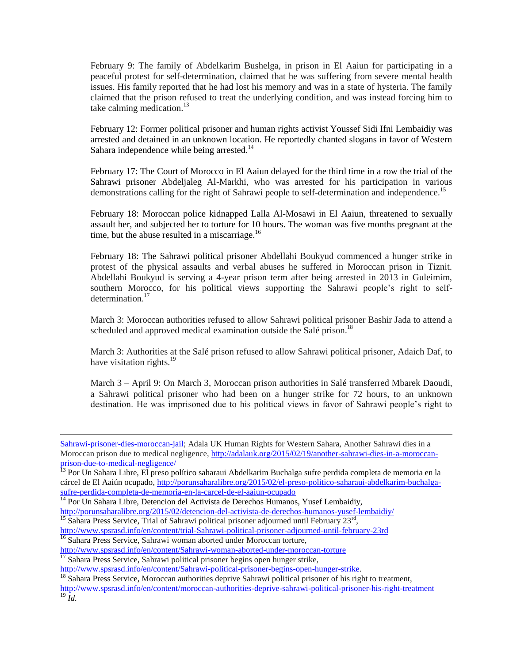February 9: The family of Abdelkarim Bushelga, in prison in El Aaiun for participating in a peaceful protest for self-determination, claimed that he was suffering from severe mental health issues. His family reported that he had lost his memory and was in a state of hysteria. The family claimed that the prison refused to treat the underlying condition, and was instead forcing him to take calming medication. $13$ 

February 12: Former political prisoner and human rights activist Youssef Sidi Ifni Lembaidiy was arrested and detained in an unknown location. He reportedly chanted slogans in favor of Western Sahara independence while being arrested.<sup>14</sup>

February 17: The Court of Morocco in El Aaiun delayed for the third time in a row the trial of the Sahrawi prisoner Abdeljaleg Al-Markhi, who was arrested for his participation in various demonstrations calling for the right of Sahrawi people to self-determination and independence.<sup>15</sup>

February 18: Moroccan police kidnapped Lalla Al-Mosawi in El Aaiun, threatened to sexually assault her, and subjected her to torture for 10 hours. The woman was five months pregnant at the time, but the abuse resulted in a miscarriage. $^{16}$ 

February 18: The Sahrawi political prisoner Abdellahi Boukyud commenced a hunger strike in protest of the physical assaults and verbal abuses he suffered in Moroccan prison in Tiznit. Abdellahi Boukyud is serving a 4-year prison term after being arrested in 2013 in Guleimim, southern Morocco, for his political views supporting the Sahrawi people's right to selfdetermination.<sup>17</sup>

March 3: Moroccan authorities refused to allow Sahrawi political prisoner Bashir Jada to attend a scheduled and approved medical examination outside the Salé prison.<sup>18</sup>

March 3: Authorities at the Salé prison refused to allow Sahrawi political prisoner, Adaich Daf, to have visitation rights.<sup>19</sup>

March 3 – April 9: On March 3, Moroccan prison authorities in Salé transferred Mbarek Daoudi, a Sahrawi political prisoner who had been on a hunger strike for 72 hours, to an unknown destination. He was imprisoned due to his political views in favor of Sahrawi people's right to

[Sahrawi-prisoner-dies-moroccan-jail;](http://www.spsrasd.info/en/content/new-saharawi-prisoner-dies-moroccan-jail) Adala UK Human Rights for Western Sahara, Another Sahrawi dies in a Moroccan prison due to medical negligence, [http://adalauk.org/2015/02/19/another-sahrawi-dies-in-a-moroccan](http://adalauk.org/2015/02/19/another-sahrawi-dies-in-a-moroccan-prison-due-to-medical-negligence/)[prison-due-to-medical-negligence/](http://adalauk.org/2015/02/19/another-sahrawi-dies-in-a-moroccan-prison-due-to-medical-negligence/)

<sup>13</sup> Por Un Sahara Libre, El preso político saharaui Abdelkarim Buchalga sufre perdida completa de memoria en la cárcel de El Aaiún ocupado, [http://porunsaharalibre.org/2015/02/el-preso-politico-saharaui-abdelkarim-buchalga](http://porunsaharalibre.org/2015/02/el-preso-politico-saharaui-abdelkarim-buchalga-sufre-perdida-completa-de-memoria-en-la-carcel-de-el-aaiun-ocupado)[sufre-perdida-completa-de-memoria-en-la-carcel-de-el-aaiun-ocupado](http://porunsaharalibre.org/2015/02/el-preso-politico-saharaui-abdelkarim-buchalga-sufre-perdida-completa-de-memoria-en-la-carcel-de-el-aaiun-ocupado)

 $\overline{a}$ 

[http://www.spsrasd.info/en/content/Sahrawi-woman-aborted-under-moroccan-torture](http://www.spsrasd.info/en/content/saharawi-woman-aborted-under-moroccan-torture)

[http://www.spsrasd.info/en/content/Sahrawi-political-prisoner-begins-open-hunger-strike.](http://www.spsrasd.info/en/content/saharawi-political-prisoner-begins-open-hunger-strike)

<sup>&</sup>lt;sup>14</sup> Por Un Sahara Libre, Detencion del Activista de Derechos Humanos, Yusef Lembaidiy,

<http://porunsaharalibre.org/2015/02/detencion-del-activista-de-derechos-humanos-yusef-lembaidiy/>

<sup>&</sup>lt;sup>15</sup> Sahara Press Service, Trial of Sahrawi political prisoner adjourned until February 23<sup>rd</sup>, [http://www.spsrasd.info/en/content/trial-Sahrawi-political-prisoner-adjourned-until-february-23rd](http://www.spsrasd.info/en/content/trial-saharawi-political-prisoner-adjourned-until-february-23rd) <sup>16</sup> Sahara Press Service, Sahrawi woman aborted under Moroccan torture,

<sup>&</sup>lt;sup>17</sup> Sahara Press Service, Sahrawi political prisoner begins open hunger strike,

<sup>&</sup>lt;sup>18</sup> Sahara Press Service, Moroccan authorities deprive Sahrawi political prisoner of his right to treatment, <http://www.spsrasd.info/en/content/moroccan-authorities-deprive-sahrawi-political-prisoner-his-right-treatment>  $^{19}$   $\tilde{I}$ *d*.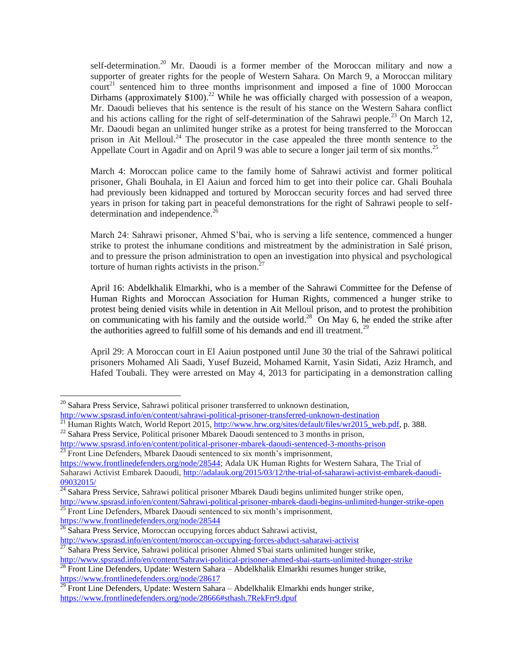self-determination.<sup>20</sup> Mr. Daoudi is a former member of the Moroccan military and now a supporter of greater rights for the people of Western Sahara. On March 9, a Moroccan military  $\text{count}^{21}$  sentenced him to three months imprisonment and imposed a fine of 1000 Moroccan Dirhams (approximately \$100).<sup>22</sup> While he was officially charged with possession of a weapon, Mr. Daoudi believes that his sentence is the result of his stance on the Western Sahara conflict and his actions calling for the right of self-determination of the Sahrawi people.<sup>23</sup> On March 12, Mr. Daoudi began an unlimited hunger strike as a protest for being transferred to the Moroccan prison in Ait Melloul.<sup>24</sup> The prosecutor in the case appealed the three month sentence to the Appellate Court in Agadir and on April 9 was able to secure a longer jail term of six months.<sup>25</sup>

March 4: Moroccan police came to the family home of Sahrawi activist and former political prisoner, Ghali Bouhala, in El Aaiun and forced him to get into their police car. Ghali Bouhala had previously been kidnapped and tortured by Moroccan security forces and had served three years in prison for taking part in peaceful demonstrations for the right of Sahrawi people to selfdetermination and independence.<sup>26</sup>

March 24: Sahrawi prisoner, Ahmed S'bai, who is serving a life sentence, commenced a hunger strike to protest the inhumane conditions and mistreatment by the administration in Salé prison, and to pressure the prison administration to open an investigation into physical and psychological torture of human rights activists in the prison. $2^{\circ}$ 

April 16: Abdelkhalik Elmarkhi, who is a member of the Sahrawi Committee for the Defense of Human Rights and Moroccan Association for Human Rights, commenced a hunger strike to protest being denied visits while in detention in Ait Melloul prison, and to protest the prohibition on communicating with his family and the outside world.<sup>28</sup> On May 6, he ended the strike after the authorities agreed to fulfill some of his demands and end ill treatment.<sup>29</sup>

April 29: A Moroccan court in El Aaiun postponed until June 30 the trial of the Sahrawi political prisoners Mohamed Ali Saadi, Yusef Buzeid, Mohamed Karnit, Yasin Sidati, Aziz Hramch, and Hafed Toubali. They were arrested on May 4, 2013 for participating in a demonstration calling

 $\overline{a}$ 

[https://www.frontlinedefenders.org/node/28544;](https://www.frontlinedefenders.org/node/28544) Adala UK Human Rights for Western Sahara, The Trial of Saharawi Activist Embarek Daoudi, [http://adalauk.org/2015/03/12/the-trial-of-saharawi-activist-embarek-daoudi-](http://adalauk.org/2015/03/12/the-trial-of-saharawi-activist-embarek-daoudi-09032015/)[09032015/](http://adalauk.org/2015/03/12/the-trial-of-saharawi-activist-embarek-daoudi-09032015/) 

<sup>24</sup> Sahara Press Service, Sahrawi political prisoner Mbarek Daudi begins unlimited hunger strike open, [http://www.spsrasd.info/en/content/Sahrawi-political-prisoner-mbarek-daudi-begins-unlimited-hunger-strike-open](http://www.spsrasd.info/en/content/saharawi-political-prisoner-mbarek-daudi-begins-unlimited-hunger-strike-open)

<sup>25</sup> Front Line Defenders, Mbarek Daoudi sentenced to six month's imprisonment, <https://www.frontlinedefenders.org/node/28544>

 $20$  Sahara Press Service, Sahrawi political prisoner transferred to unknown destination,

<http://www.spsrasd.info/en/content/sahrawi-political-prisoner-transferred-unknown-destination>

<sup>&</sup>lt;sup>21</sup> Human Rights Watch, World Report 2015, [http://www.hrw.org/sites/default/files/wr2015\\_web.pdf,](http://www.hrw.org/sites/default/files/wr2015_web.pdf) p. 388.

<sup>&</sup>lt;sup>22</sup> Sahara Press Service, Political prisoner Mbarek Daoudi sentenced to 3 months in prison,

<http://www.spsrasd.info/en/content/political-prisoner-mbarek-daoudi-sentenced-3-months-prison> <sup>23</sup> Front Line Defenders, Mbarek Daoudi sentenced to six month's imprisonment,

 $\frac{26}{26}$  Sahara Press Service, Moroccan occupying forces abduct Sahrawi activist,

<http://www.spsrasd.info/en/content/moroccan-occupying-forces-abduct-saharawi-activist>

Sahara Press Service, Sahrawi political prisoner Ahmed S'bai starts unlimited hunger strike,

[http://www.spsrasd.info/en/content/Sahrawi-political-prisoner-ahmed-sbai-starts-unlimited-hunger-strike](http://www.spsrasd.info/en/content/saharawi-political-prisoner-ahmed-sbai-starts-unlimited-hunger-strike)

 $\overline{^{28}}$  Front Line Defenders, Update: Western Sahara – Abdelkhalik Elmarkhi resumes hunger strike, <https://www.frontlinedefenders.org/node/28617>

 $^{29}$  Front Line Defenders, Update: Western Sahara – Abdelkhalik Elmarkhi ends hunger strike, <https://www.frontlinedefenders.org/node/28666#sthash.7RekFrr9.dpuf>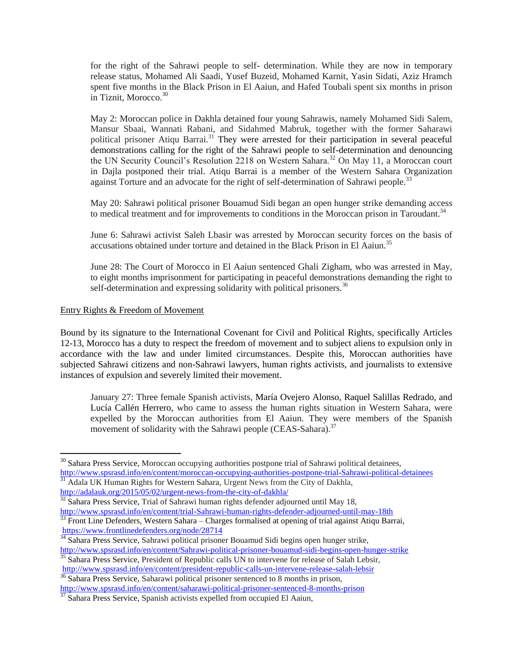for the right of the Sahrawi people to self- determination. While they are now in temporary release status, Mohamed Ali Saadi, Yusef Buzeid, Mohamed Karnit, Yasin Sidati, Aziz Hramch spent five months in the Black Prison in El Aaiun, and Hafed Toubali spent six months in prison  $\overline{\text{in}}$  Tiznit, Morocco.<sup>30</sup>

May 2: Moroccan police in Dakhla detained four young Sahrawis, namely Mohamed Sidi Salem, Mansur Sbaai, Wannati Rabani, and Sidahmed Mabruk, together with the former Saharawi political prisoner Atiqu Barrai.<sup>31</sup> They were arrested for their participation in several peaceful demonstrations calling for the right of the Sahrawi people to self-determination and denouncing the UN Security Council's Resolution 2218 on Western Sahara.<sup>32</sup> On May 11, a Moroccan court in Dajla postponed their trial. Atiqu Barrai is a member of the Western Sahara Organization against Torture and an advocate for the right of self-determination of Sahrawi people.<sup>33</sup>

May 20: Sahrawi political prisoner Bouamud Sidi began an open hunger strike demanding access to medical treatment and for improvements to conditions in the Moroccan prison in Taroudant.<sup>34</sup>

June 6: Sahrawi activist Saleh Lbasir was arrested by Moroccan security forces on the basis of accusations obtained under torture and detained in the Black Prison in El Aaiun.<sup>35</sup>

June 28: The Court of Morocco in El Aaiun sentenced Ghali Zigham, who was arrested in May, to eight months imprisonment for participating in peaceful demonstrations demanding the right to self-determination and expressing solidarity with political prisoners.<sup>36</sup>

#### Entry Rights & Freedom of Movement

Bound by its signature to the International Covenant for Civil and Political Rights, specifically Articles 12-13, Morocco has a duty to respect the freedom of movement and to subject aliens to expulsion only in accordance with the law and under limited circumstances. Despite this, Moroccan authorities have subjected Sahrawi citizens and non-Sahrawi lawyers, human rights activists, and journalists to extensive instances of expulsion and severely limited their movement.

January 27: Three female Spanish activists, María Ovejero Alonso, Raquel Salillas Redrado, and Lucía Callén Herrero, who came to assess the human rights situation in Western Sahara, were expelled by the Moroccan authorities from El Aaiun. They were members of the Spanish movement of solidarity with the Sahrawi people (CEAS-Sahara).<sup>37</sup>

<sup>36</sup> Sahara Press Service, Saharawi political prisoner sentenced to 8 months in prison, <http://www.spsrasd.info/en/content/saharawi-political-prisoner-sentenced-8-months-prison>

 $\overline{a}$ <sup>30</sup> Sahara Press Service, Moroccan occupying authorities postpone trial of Sahrawi political detainees, [http://www.spsrasd.info/en/content/moroccan-occupying-authorities-postpone-trial-Sahrawi-political-detainees](http://www.spsrasd.info/en/content/moroccan-occupying-authorities-postpone-trial-saharawi-political-detainees) <sup>31</sup> Adala UK Human Rights for Western Sahara, Urgent News from the City of Dakhla,

<http://adalauk.org/2015/05/02/urgent-news-from-the-city-of-dakhla/>

 $32$  Sahara Press Service, Trial of Sahrawi human rights defender adjourned until May 18,

[http://www.spsrasd.info/en/content/trial-Sahrawi-human-rights-defender-adjourned-until-may-18th](http://www.spsrasd.info/en/content/trial-saharawi-human-rights-defender-adjourned-until-may-18th)

<sup>&</sup>lt;sup>33</sup> Front Line Defenders, Western Sahara – Charges formalised at opening of trial against Atiqu Barrai, <https://www.frontlinedefenders.org/node/28714>

<sup>&</sup>lt;sup>34</sup> Sahara Press Service, Sahrawi political prisoner Bouamud Sidi begins open hunger strike, [http://www.spsrasd.info/en/content/Sahrawi-political-prisoner-bouamud-sidi-begins-open-hunger-strike](http://www.spsrasd.info/en/content/saharawi-political-prisoner-bouamud-sidi-begins-open-hunger-strike)

<sup>&</sup>lt;sup>35</sup> Sahara Press Service, President of Republic calls UN to intervene for release of Salah Lebsir, <http://www.spsrasd.info/en/content/president-republic-calls-un-intervene-release-salah-lebsir>

 $37$  Sahara Press Service, Spanish activists expelled from occupied El Aaiun,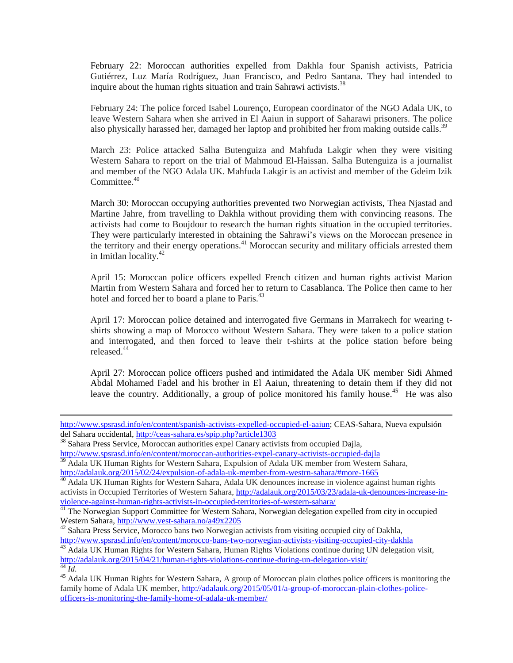February 22: Moroccan authorities expelled from Dakhla four Spanish activists, Patricia Gutiérrez, Luz María Rodríguez, Juan Francisco, and Pedro Santana. They had intended to inquire about the human rights situation and train Sahrawi activists.<sup>38</sup>

February 24: The police forced Isabel Lourenço, European coordinator of the NGO Adala UK, to leave Western Sahara when she arrived in El Aaiun in support of Saharawi prisoners. The police also physically harassed her, damaged her laptop and prohibited her from making outside calls.<sup>39</sup>

March 23: Police attacked Salha Butenguiza and Mahfuda Lakgir when they were visiting Western Sahara to report on the trial of Mahmoud El-Haissan. Salha Butenguiza is a journalist and member of the NGO Adala UK. Mahfuda Lakgir is an activist and member of the Gdeim Izik  $Committee.<sup>40</sup>$ 

March 30: Moroccan occupying authorities prevented two Norwegian activists, Thea Njastad and Martine Jahre, from travelling to Dakhla without providing them with convincing reasons. The activists had come to Boujdour to research the human rights situation in the occupied territories. They were particularly interested in obtaining the Sahrawi's views on the Moroccan presence in the territory and their energy operations.<sup>41</sup> Moroccan security and military officials arrested them in Imitlan locality.<sup>42</sup>

April 15: Moroccan police officers expelled French citizen and human rights activist Marion Martin from Western Sahara and forced her to return to Casablanca. The Police then came to her hotel and forced her to board a plane to Paris.<sup>43</sup>

April 17: Moroccan police detained and interrogated five Germans in Marrakech for wearing tshirts showing a map of Morocco without Western Sahara. They were taken to a police station and interrogated, and then forced to leave their t-shirts at the police station before being released.<sup>44</sup>

April 27: Moroccan police officers pushed and intimidated the Adala UK member Sidi Ahmed Abdal Mohamed Fadel and his brother in El Aaiun, threatening to detain them if they did not leave the country. Additionally, a group of police monitored his family house.<sup>45</sup> He was also

[http://www.spsrasd.info/en/content/spanish-activists-expelled-occupied-el-aaiun;](http://www.spsrasd.info/en/content/spanish-activists-expelled-occupied-el-aaiun) CEAS-Sahara, Nueva expulsión del Sahara occidental,<http://ceas-sahara.es/spip.php?article1303>

<sup>38</sup> Sahara Press Service, Moroccan authorities expel Canary activists from occupied Dajla,

<http://www.spsrasd.info/en/content/moroccan-authorities-expel-canary-activists-occupied-dajla>

<sup>&</sup>lt;sup>39</sup> Adala UK Human Rights for Western Sahara, Expulsion of Adala UK member from Western Sahara, <http://adalauk.org/2015/02/24/expulsion-of-adala-uk-member-from-westrn-sahara/#more-1665>

<sup>&</sup>lt;sup>40</sup> Adala UK Human Rights for Western Sahara, Adala UK denounces increase in violence against human rights activists in Occupied Territories of Western Sahara, [http://adalauk.org/2015/03/23/adala-uk-denounces-increase-in](http://adalauk.org/2015/03/23/adala-uk-denounces-increase-in-violence-against-human-rights-activists-in-occupied-territories-of-western-sahara/)[violence-against-human-rights-activists-in-occupied-territories-of-western-sahara/](http://adalauk.org/2015/03/23/adala-uk-denounces-increase-in-violence-against-human-rights-activists-in-occupied-territories-of-western-sahara/)

<sup>&</sup>lt;sup>41</sup> The Norwegian Support Committee for Western Sahara, Norwegian delegation expelled from city in occupied Western Sahara,<http://www.vest-sahara.no/a49x2205>

<sup>&</sup>lt;sup>42</sup> Sahara Press Service, Morocco bans two Norwegian activists from visiting occupied city of Dakhla, <http://www.spsrasd.info/en/content/morocco-bans-two-norwegian-activists-visiting-occupied-city-dakhla>

Adala UK Human Rights for Western Sahara, Human Rights Violations continue during UN delegation visit, <http://adalauk.org/2015/04/21/human-rights-violations-continue-during-un-delegation-visit/> <sup>44</sup> *Id.*

<sup>&</sup>lt;sup>45</sup> Adala UK Human Rights for Western Sahara, A group of Moroccan plain clothes police officers is monitoring the family home of Adala UK member, [http://adalauk.org/2015/05/01/a-group-of-moroccan-plain-clothes-police](http://adalauk.org/2015/05/01/a-group-of-moroccan-plain-clothes-police-officers-is-monitoring-the-family-home-of-adala-uk-member/)[officers-is-monitoring-the-family-home-of-adala-uk-member/](http://adalauk.org/2015/05/01/a-group-of-moroccan-plain-clothes-police-officers-is-monitoring-the-family-home-of-adala-uk-member/)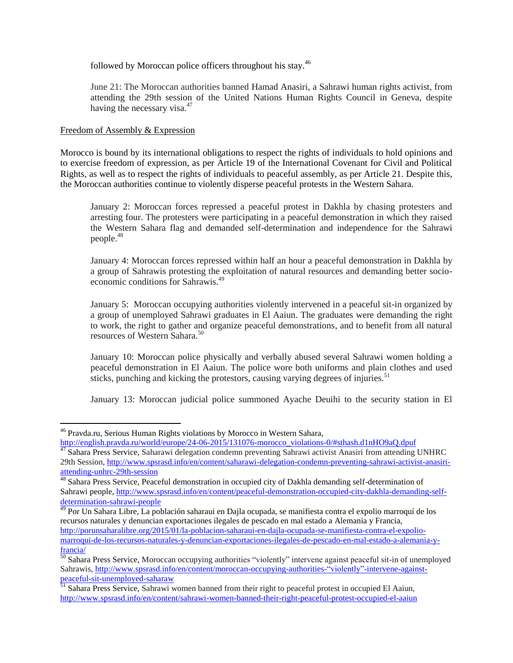followed by Moroccan police officers throughout his stay.<sup>46</sup>

June 21: The Moroccan authorities banned Hamad Anasiri, a Sahrawi human rights activist, from attending the 29th session of the United Nations Human Rights Council in Geneva, despite having the necessary visa.<sup>47</sup>

#### Freedom of Assembly & Expression

 $\overline{a}$ 

Morocco is bound by its international obligations to respect the rights of individuals to hold opinions and to exercise freedom of expression, as per Article 19 of the International Covenant for Civil and Political Rights, as well as to respect the rights of individuals to peaceful assembly, as per Article 21. Despite this, the Moroccan authorities continue to violently disperse peaceful protests in the Western Sahara.

January 2: Moroccan forces repressed a peaceful protest in Dakhla by chasing protesters and arresting four. The protesters were participating in a peaceful demonstration in which they raised the Western Sahara flag and demanded self-determination and independence for the Sahrawi people.<sup>48</sup>

January 4: Moroccan forces repressed within half an hour a peaceful demonstration in Dakhla by a group of Sahrawis protesting the exploitation of natural resources and demanding better socioeconomic conditions for Sahrawis.<sup>49</sup>

January 5: Moroccan occupying authorities violently intervened in a peaceful sit-in organized by a group of unemployed Sahrawi graduates in El Aaiun. The graduates were demanding the right to work, the right to gather and organize peaceful demonstrations, and to benefit from all natural resources of Western Sahara.<sup>50</sup>

January 10: Moroccan police physically and verbally abused several Sahrawi women holding a peaceful demonstration in El Aaiun. The police wore both uniforms and plain clothes and used sticks, punching and kicking the protestors, causing varying degrees of injuries.<sup>51</sup>

January 13: Moroccan judicial police summoned Ayache Deuihi to the security station in El

<sup>46</sup> Pravda.ru, Serious Human Rights violations by Morocco in Western Sahara,

[http://english.pravda.ru/world/europe/24-06-2015/131076-morocco\\_violations-0/#sthash.d1nHO9aQ.dpuf](http://english.pravda.ru/world/europe/24-06-2015/131076-morocco_violations-0/#sthash.d1nHO9aQ.dpuf)

<sup>&</sup>lt;sup>47</sup> Sahara Press Service, Saharawi delegation condemn preventing Sahrawi activist Anasiri from attending UNHRC 29th Session, [http://www.spsrasd.info/en/content/saharawi-delegation-condemn-preventing-sahrawi-activist-anasiri](http://www.spsrasd.info/en/content/saharawi-delegation-condemn-preventing-sahrawi-activist-anasiri-attending-unhrc-29th-session)[attending-unhrc-29th-session](http://www.spsrasd.info/en/content/saharawi-delegation-condemn-preventing-sahrawi-activist-anasiri-attending-unhrc-29th-session)

<sup>&</sup>lt;sup>48</sup> Sahara Press Service, Peaceful demonstration in occupied city of Dakhla demanding self-determination of Sahrawi people, [http://www.spsrasd.info/en/content/peaceful-demonstration-occupied-city-dakhla-demanding-self](http://www.spsrasd.info/en/content/peaceful-demonstration-occupied-city-dakhla-demanding-self-determination-sahrawi-people)[determination-sahrawi-people](http://www.spsrasd.info/en/content/peaceful-demonstration-occupied-city-dakhla-demanding-self-determination-sahrawi-people)

<sup>49</sup> Por Un Sahara Libre, La población saharaui en Dajla ocupada, se manifiesta contra el expolio marroquí de los recursos naturales y denuncian exportaciones ilegales de pescado en mal estado a Alemania y Francia, [http://porunsaharalibre.org/2015/01/la-poblacion-saharaui-en-dajla-ocupada-se-manifiesta-contra-el-expolio](http://porunsaharalibre.org/2015/01/la-poblacion-saharaui-en-dajla-ocupada-se-manifiesta-contra-el-expolio-marroqui-de-los-recursos-naturales-y-denuncian-exportaciones-ilegales-de-pescado-en-mal-estado-a-alemania-y-francia/)[marroqui-de-los-recursos-naturales-y-denuncian-exportaciones-ilegales-de-pescado-en-mal-estado-a-alemania-y](http://porunsaharalibre.org/2015/01/la-poblacion-saharaui-en-dajla-ocupada-se-manifiesta-contra-el-expolio-marroqui-de-los-recursos-naturales-y-denuncian-exportaciones-ilegales-de-pescado-en-mal-estado-a-alemania-y-francia/)[francia/](http://porunsaharalibre.org/2015/01/la-poblacion-saharaui-en-dajla-ocupada-se-manifiesta-contra-el-expolio-marroqui-de-los-recursos-naturales-y-denuncian-exportaciones-ilegales-de-pescado-en-mal-estado-a-alemania-y-francia/)

 $\frac{50}{10}$  Sahara Press Service, Moroccan occupying authorities "violently" intervene against peaceful sit-in of unemployed Sahrawis[, http://www.spsrasd.info/en/content/moroccan-occupying-authorities-"violently"-intervene-against](http://www.spsrasd.info/en/content/moroccan-occupying-authorities-)[peaceful-sit-unemployed-saharaw](http://www.spsrasd.info/en/content/moroccan-occupying-authorities-)

<sup>&</sup>lt;sup>51</sup> Sahara Press Service, Sahrawi women banned from their right to peaceful protest in occupied El Aaiun, <http://www.spsrasd.info/en/content/sahrawi-women-banned-their-right-peaceful-protest-occupied-el-aaiun>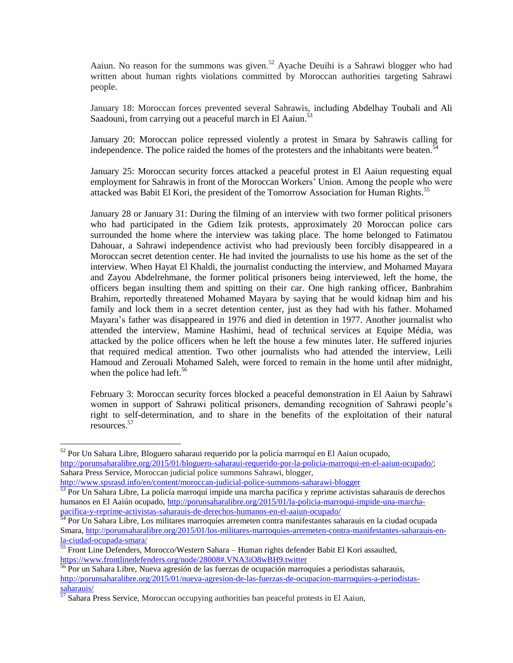Aaiun. No reason for the summons was given.<sup>52</sup> Ayache Deuihi is a Sahrawi blogger who had written about human rights violations committed by Moroccan authorities targeting Sahrawi people.

January 18: Moroccan forces prevented several Sahrawis, including Abdelhay Toubali and Ali Saadouni, from carrying out a peaceful march in El Aaiun.<sup>53</sup>

January 20: Moroccan police repressed violently a protest in Smara by Sahrawis calling for independence. The police raided the homes of the protesters and the inhabitants were beaten. $\dot{\bar{\mathbf{5}}}$ 

January 25: Moroccan security forces attacked a peaceful protest in El Aaiun requesting equal employment for Sahrawis in front of the Moroccan Workers' Union. Among the people who were attacked was Babit El Kori, the president of the Tomorrow Association for Human Rights.<sup>55</sup>

January 28 or January 31: During the filming of an interview with two former political prisoners who had participated in the Gdiem Izik protests, approximately 20 Moroccan police cars surrounded the home where the interview was taking place. The home belonged to Fatimatou Dahouar, a Sahrawi independence activist who had previously been forcibly disappeared in a Moroccan secret detention center. He had invited the journalists to use his home as the set of the interview. When Hayat El Khaldi, the journalist conducting the interview, and Mohamed Mayara and Zayou Abdelrehmane, the former political prisoners being interviewed, left the home, the officers began insulting them and spitting on their car. One high ranking officer, Banbrahim Brahim, reportedly threatened Mohamed Mayara by saying that he would kidnap him and his family and lock them in a secret detention center, just as they had with his father. Mohamed Mayara's father was disappeared in 1976 and died in detention in 1977. Another journalist who attended the interview, Mamine Hashimi, head of technical services at Equipe Média, was attacked by the police officers when he left the house a few minutes later. He suffered injuries that required medical attention. Two other journalists who had attended the interview, Leili Hamoud and Zerouali Mohamed Saleh, were forced to remain in the home until after midnight, when the police had left. $56$ 

February 3: Moroccan security forces blocked a peaceful demonstration in El Aaiun by Sahrawi women in support of Sahrawi political prisoners, demanding recognition of Sahrawi people's right to self-determination, and to share in the benefits of the exploitation of their natural resources.<sup>57</sup>

<sup>&</sup>lt;sup>52</sup> Por Un Sahara Libre, Bloguero saharaui requerido por la policía marroquí en El Aaiun ocupado, [http://porunsaharalibre.org/2015/01/bloguero-saharaui-requerido-por-la-policia-marroqui-en-el-aaiun-ocupado/;](http://porunsaharalibre.org/2015/01/bloguero-saharaui-requerido-por-la-policia-marroqui-en-el-aaiun-ocupado/) Sahara Press Service, Moroccan judicial police summons Sahrawi, blogger,

<http://www.spsrasd.info/en/content/moroccan-judicial-police-summons-saharawi-blogger> 53 Por Un Sahara Libre, La policía marroquí impide una marcha pacífica y reprime activistas saharauis de derechos humanos en El Aaiún ocupado, [http://porunsaharalibre.org/2015/01/la-policia-marroqui-impide-una-marcha](http://porunsaharalibre.org/2015/01/la-policia-marroqui-impide-una-marcha-pacifica-y-reprime-activistas-saharauis-de-derechos-humanos-en-el-aaiun-ocupado/)[pacifica-y-reprime-activistas-saharauis-de-derechos-humanos-en-el-aaiun-ocupado/](http://porunsaharalibre.org/2015/01/la-policia-marroqui-impide-una-marcha-pacifica-y-reprime-activistas-saharauis-de-derechos-humanos-en-el-aaiun-ocupado/)

<sup>54</sup> Por Un Sahara Libre, Los militares marroquíes arremeten contra manifestantes saharauis en la ciudad ocupada Smara, [http://porunsaharalibre.org/2015/01/los-militares-marroquies-arremeten-contra-manifestantes-saharauis-en](http://porunsaharalibre.org/2015/01/los-militares-marroquies-arremeten-contra-manifestantes-saharauis-en-la-ciudad-ocupada-smara/)[la-ciudad-ocupada-smara/](http://porunsaharalibre.org/2015/01/los-militares-marroquies-arremeten-contra-manifestantes-saharauis-en-la-ciudad-ocupada-smara/)

<sup>&</sup>lt;sup>55</sup> Front Line Defenders, Morocco/Western Sahara – Human rights defender Babit El Kori assaulted, <https://www.frontlinedefenders.org/node/28008#.VNA3iO8wBH9.twitter>

<sup>&</sup>lt;sup>56</sup> Por un Sahara Libre, Nueva agresión de las fuerzas de ocupación marroquíes a periodistas saharauis, [http://porunsaharalibre.org/2015/01/nueva-agresion-de-las-fuerzas-de-ocupacion-marroquies-a-periodistas](http://porunsaharalibre.org/2015/01/nueva-agresion-de-las-fuerzas-de-ocupacion-marroquies-a-periodistas-saharauis/)[saharauis/](http://porunsaharalibre.org/2015/01/nueva-agresion-de-las-fuerzas-de-ocupacion-marroquies-a-periodistas-saharauis/)

 $57$  Sahara Press Service, Moroccan occupying authorities ban peaceful protests in El Aaiun,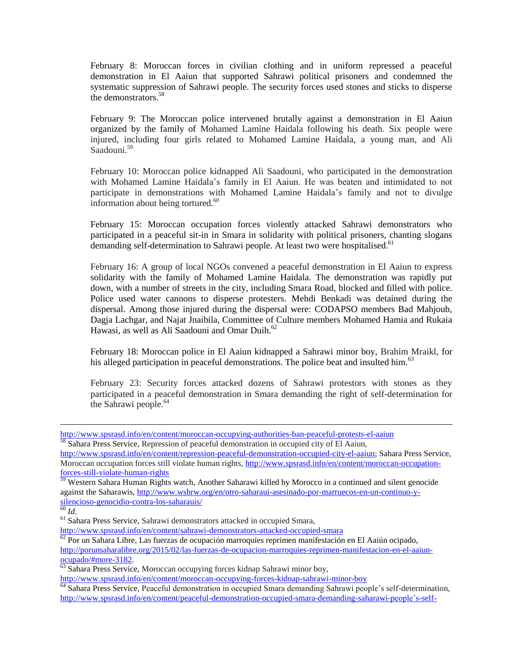February 8: Moroccan forces in civilian clothing and in uniform repressed a peaceful demonstration in El Aaiun that supported Sahrawi political prisoners and condemned the systematic suppression of Sahrawi people. The security forces used stones and sticks to disperse the demonstrators.<sup>58</sup>

February 9: The Moroccan police intervened brutally against a demonstration in El Aaiun organized by the family of Mohamed Lamine Haidala following his death. Six people were injured, including four girls related to Mohamed Lamine Haidala, a young man, and Ali Saadouni. 59

February 10: Moroccan police kidnapped Ali Saadouni, who participated in the demonstration with Mohamed Lamine Haidala's family in El Aaiun. He was beaten and intimidated to not participate in demonstrations with Mohamed Lamine Haidala's family and not to divulge information about being tortured. $60$ 

February 15: Moroccan occupation forces violently attacked Sahrawi demonstrators who participated in a peaceful sit-in in Smara in solidarity with political prisoners, chanting slogans demanding self-determination to Sahrawi people. At least two were hospitalised.<sup>61</sup>

February 16: A group of local NGOs convened a peaceful demonstration in El Aaiun to express solidarity with the family of Mohamed Lamine Haidala. The demonstration was rapidly put down, with a number of streets in the city, including Smara Road, blocked and filled with police. Police used water cannons to disperse protesters. Mehdi Benkadi was detained during the dispersal. Among those injured during the dispersal were: CODAPSO members Bad Mahjoub, Dagja Lachgar, and Najat Jnaibila, Committee of Culture members Mohamed Hamia and Rukaia Hawasi, as well as Ali Saadouni and Omar Duih. $^{62}$ 

February 18: Moroccan police in El Aaiun kidnapped a Sahrawi minor boy, Brahim Mraikl, for his alleged participation in peaceful demonstrations. The police beat and insulted him.<sup>63</sup>

February 23: Security forces attacked dozens of Sahrawi protestors with stones as they participated in a peaceful demonstration in Smara demanding the right of self-determination for the Sahrawi people. $64$ 

<http://www.spsrasd.info/en/content/moroccan-occupying-authorities-ban-peaceful-protests-el-aaiun> <sup>58</sup> Sahara Press Service, Repression of peaceful demonstration in occupied city of El Aaiun,

[http://www.spsrasd.info/en/content/repression-peaceful-demonstration-occupied-city-el-aaiun;](http://www.spsrasd.info/en/content/repression-peaceful-demonstration-occupied-city-el-aaiun) Sahara Press Service, Moroccan occupation forces still violate human rights, [http://www.spsrasd.info/en/content/moroccan-occupation](http://www.spsrasd.info/en/content/moroccan-occupation-forces-still-violate-human-rights)[forces-still-violate-human-rights](http://www.spsrasd.info/en/content/moroccan-occupation-forces-still-violate-human-rights)

<sup>&</sup>lt;sup>59</sup> Western Sahara Human Rights watch, Another Saharawi killed by Morocco in a continued and silent genocide against the Saharawis, [http://www.wshrw.org/en/otro-saharaui-asesinado-por-marruecos-en-un-continuo-y](http://www.wshrw.org/en/otro-saharaui-asesinado-por-marruecos-en-un-continuo-y-silencioso-genocidio-contra-los-saharauis/)[silencioso-genocidio-contra-los-saharauis/](http://www.wshrw.org/en/otro-saharaui-asesinado-por-marruecos-en-un-continuo-y-silencioso-genocidio-contra-los-saharauis/)

 $\overline{60}$  *Id.* 

<sup>61</sup> Sahara Press Service, Sahrawi demonstrators attacked in occupied Smara,

<http://www.spsrasd.info/en/content/sahrawi-demonstrators-attacked-occupied-smara>

 $\frac{62}{62}$  Por un Sahara Libre, Las fuerzas de ocupación marroquíes reprimen manifestación en El Aaiún ocipado, [http://porunsaharalibre.org/2015/02/las-fuerzas-de-ocupacion-marroquies-reprimen-manifestacion-en-el-aaiun](http://porunsaharalibre.org/2015/02/las-fuerzas-de-ocupacion-marroquies-reprimen-manifestacion-en-el-aaiun-ocupado/#more-3182)[ocupado/#more-3182.](http://porunsaharalibre.org/2015/02/las-fuerzas-de-ocupacion-marroquies-reprimen-manifestacion-en-el-aaiun-ocupado/#more-3182)

<sup>&</sup>lt;sup>63</sup> Sahara Press Service, Moroccan occupying forces kidnap Sahrawi minor boy,

<http://www.spsrasd.info/en/content/moroccan-occupying-forces-kidnap-sahrawi-minor-boy>

<sup>&</sup>lt;sup>64</sup> Sahara Press Service, Peaceful demonstration in occupied Smara demanding Sahrawi people's self-determination, [http://www.spsrasd.info/en/content/peaceful-demonstration-occupied-smara-demanding-saharawi-people's-self-](http://www.spsrasd.info/en/content/peaceful-demonstration-occupied-smara-demanding-saharawi-people)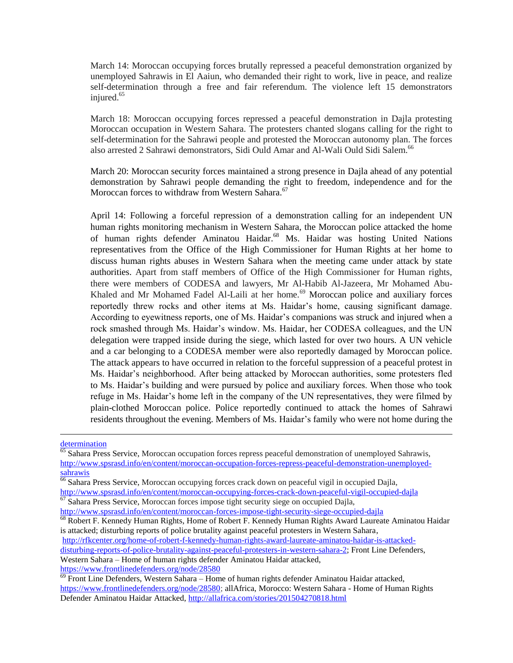March 14: Moroccan occupying forces brutally repressed a peaceful demonstration organized by unemployed Sahrawis in El Aaiun, who demanded their right to work, live in peace, and realize self-determination through a free and fair referendum. The violence left 15 demonstrators injured.<sup>65</sup>

March 18: Moroccan occupying forces repressed a peaceful demonstration in Dajla protesting Moroccan occupation in Western Sahara. The protesters chanted slogans calling for the right to self-determination for the Sahrawi people and protested the Moroccan autonomy plan. The forces also arrested 2 Sahrawi demonstrators, Sidi Ould Amar and Al-Wali Ould Sidi Salem.<sup>66</sup>

March 20: Moroccan security forces maintained a strong presence in Dajla ahead of any potential demonstration by Sahrawi people demanding the right to freedom, independence and for the Moroccan forces to withdraw from Western Sahara.<sup>67</sup>

April 14: Following a forceful repression of a demonstration calling for an independent UN human rights monitoring mechanism in Western Sahara, the Moroccan police attacked the home of human rights defender Aminatou Haidar.<sup>68</sup> Ms. Haidar was hosting United Nations representatives from the Office of the High Commissioner for Human Rights at her home to discuss human rights abuses in Western Sahara when the meeting came under attack by state authorities. Apart from staff members of Office of the High Commissioner for Human rights, there were members of CODESA and lawyers, Mr Al-Habib Al-Jazeera, Mr Mohamed Abu-Khaled and Mr Mohamed Fadel Al-Laili at her home.<sup>69</sup> Moroccan police and auxiliary forces reportedly threw rocks and other items at Ms. Haidar's home, causing significant damage. According to eyewitness reports, one of Ms. Haidar's companions was struck and injured when a rock smashed through Ms. Haidar's window. Ms. Haidar, her CODESA colleagues, and the UN delegation were trapped inside during the siege, which lasted for over two hours. A UN vehicle and a car belonging to a CODESA member were also reportedly damaged by Moroccan police. The attack appears to have occurred in relation to the forceful suppression of a peaceful protest in Ms. Haidar's neighborhood. After being attacked by Moroccan authorities, some protesters fled to Ms. Haidar's building and were pursued by police and auxiliary forces. When those who took refuge in Ms. Haidar's home left in the company of the UN representatives, they were filmed by plain-clothed Moroccan police. Police reportedly continued to attack the homes of Sahrawi residents throughout the evening. Members of Ms. Haidar's family who were not home during the

 $\overline{a}$ 

[http://rfkcenter.org/home-of-robert-f-kennedy-human-rights-award-laureate-aminatou-haidar-is-attacked-](http://rfkcenter.org/home-of-robert-f-kennedy-human-rights-award-laureate-aminatou-haidar-is-attacked-disturbing-reports-of-police-brutality-against-peaceful-protesters-in-western-sahara-2)

[disturbing-reports-of-police-brutality-against-peaceful-protesters-in-western-sahara-2;](http://rfkcenter.org/home-of-robert-f-kennedy-human-rights-award-laureate-aminatou-haidar-is-attacked-disturbing-reports-of-police-brutality-against-peaceful-protesters-in-western-sahara-2) Front Line Defenders,

Western Sahara – Home of human rights defender Aminatou Haidar attacked,

<https://www.frontlinedefenders.org/node/28580>

[determination](http://www.spsrasd.info/en/content/peaceful-demonstration-occupied-smara-demanding-saharawi-people)

 $\overline{65}$  Sahara Press Service, Moroccan occupation forces repress peaceful demonstration of unemployed Sahrawis, [http://www.spsrasd.info/en/content/moroccan-occupation-forces-repress-peaceful-demonstration-unemployed](http://www.spsrasd.info/en/content/moroccan-occupation-forces-repress-peaceful-demonstration-unemployed-sahrawis)[sahrawis](http://www.spsrasd.info/en/content/moroccan-occupation-forces-repress-peaceful-demonstration-unemployed-sahrawis)

<sup>&</sup>lt;sup>66</sup> Sahara Press Service, Moroccan occupying forces crack down on peaceful vigil in occupied Dajla,

<http://www.spsrasd.info/en/content/moroccan-occupying-forces-crack-down-peaceful-vigil-occupied-dajla>  $\frac{67}{67}$  Sahara Press Service, Moroccan forces impose tight security siege on occupied Dajla,

<http://www.spsrasd.info/en/content/moroccan-forces-impose-tight-security-siege-occupied-dajla>

<sup>68</sup> Robert F. Kennedy Human Rights, Home of Robert F. Kennedy Human Rights Award Laureate Aminatou Haidar [is attacked; disturbing reports of police brutality against peaceful protesters in Western Sahara,](http://rfkcenter.org/home-of-robert-f-kennedy-human-rights-award-laureate-aminatou-haidar-is-attacked-disturbing-reports-of-police-brutality-against-peaceful-protesters-in-western-sahara-2?lang=en)

 $69$  Front Line Defenders, Western Sahara – Home of human rights defender Aminatou Haidar attacked, [https://www.frontlinedefenders.org/node/28580;](https://www.frontlinedefenders.org/node/28580) allAfrica, Morocco: Western Sahara - Home of Human Rights Defender Aminatou Haidar Attacked, <http://allafrica.com/stories/201504270818.html>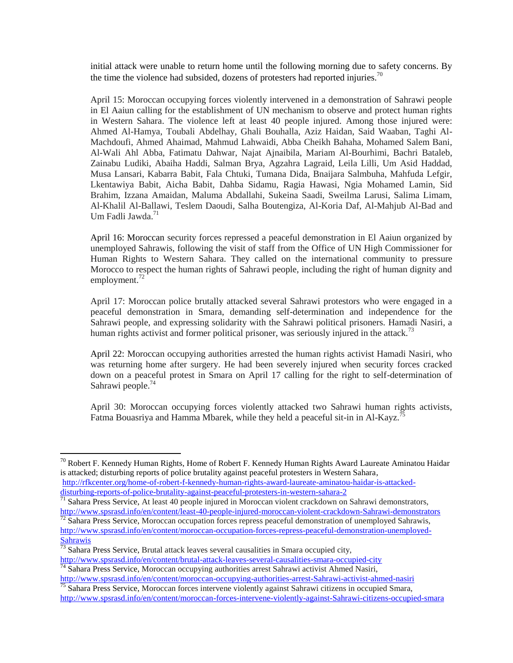initial attack were unable to return home until the following morning due to safety concerns. By the time the violence had subsided, dozens of protesters had reported injuries.<sup>70</sup>

April 15: Moroccan occupying forces violently intervened in a demonstration of Sahrawi people in El Aaiun calling for the establishment of UN mechanism to observe and protect human rights in Western Sahara. The violence left at least 40 people injured. Among those injured were: Ahmed Al-Hamya, Toubali Abdelhay, Ghali Bouhalla, Aziz Haidan, Said Waaban, Taghi Al-Machdoufi, Ahmed Ahaimad, Mahmud Lahwaidi, Abba Cheikh Bahaha, Mohamed Salem Bani, Al-Wali Ahl Abba, Fatimatu Dahwar, Najat Ajnaibila, Mariam Al-Bourhimi, Bachri Bataleb, Zainabu Ludiki, Abaiha Haddi, Salman Brya, Agzahra Lagraid, Leila Lilli, Um Asid Haddad, Musa Lansari, Kabarra Babit, Fala Chtuki, Tumana Dida, Bnaijara Salmbuha, Mahfuda Lefgir, Lkentawiya Babit, Aicha Babit, Dahba Sidamu, Ragia Hawasi, Ngia Mohamed Lamin, Sid Brahim, Izzana Amaidan, Maluma Abdallahi, Sukeina Saadi, Sweilma Larusi, Salima Limam, Al-Khalil Al-Ballawi, Teslem Daoudi, Salha Boutengiza, Al-Koria Daf, Al-Mahjub Al-Bad and Um Fadli Jawda. $^{71}$ 

April 16: Moroccan security forces repressed a peaceful demonstration in El Aaiun organized by unemployed Sahrawis, following the visit of staff from the Office of UN High Commissioner for Human Rights to Western Sahara. They called on the international community to pressure Morocco to respect the human rights of Sahrawi people, including the right of human dignity and employment. $^{72}$ 

April 17: Moroccan police brutally attacked several Sahrawi protestors who were engaged in a peaceful demonstration in Smara, demanding self-determination and independence for the Sahrawi people, and expressing solidarity with the Sahrawi political prisoners. Hamadi Nasiri, a human rights activist and former political prisoner, was seriously injured in the attack.<sup>73</sup>

April 22: Moroccan occupying authorities arrested the human rights activist Hamadi Nasiri, who was returning home after surgery. He had been severely injured when security forces cracked down on a peaceful protest in Smara on April 17 calling for the right to self-determination of Sahrawi people.<sup>74</sup>

April 30: Moroccan occupying forces violently attacked two Sahrawi human rights activists, Fatma Bouasriya and Hamma Mbarek, while they held a peaceful sit-in in Al-Kayz.<sup>7</sup>

 $^{70}$  Robert F. Kennedy Human Rights, Home of Robert F. Kennedy Human Rights Award Laureate Aminatou Haidar [is attacked; disturbing reports of police brutality against peaceful protesters in Western Sahara,](http://rfkcenter.org/home-of-robert-f-kennedy-human-rights-award-laureate-aminatou-haidar-is-attacked-disturbing-reports-of-police-brutality-against-peaceful-protesters-in-western-sahara-2?lang=en)

[http://rfkcenter.org/home-of-robert-f-kennedy-human-rights-award-laureate-aminatou-haidar-is-attacked](http://rfkcenter.org/home-of-robert-f-kennedy-human-rights-award-laureate-aminatou-haidar-is-attacked-disturbing-reports-of-police-brutality-against-peaceful-protesters-in-western-sahara-2)[disturbing-reports-of-police-brutality-against-peaceful-protesters-in-western-sahara-2](http://rfkcenter.org/home-of-robert-f-kennedy-human-rights-award-laureate-aminatou-haidar-is-attacked-disturbing-reports-of-police-brutality-against-peaceful-protesters-in-western-sahara-2)

<sup>&</sup>lt;sup>71</sup> Sahara Press Service, At least 40 people injured in Moroccan violent crackdown on Sahrawi demonstrators, [http://www.spsrasd.info/en/content/least-40-people-injured-moroccan-violent-crackdown-Sahrawi-demonstrators](http://www.spsrasd.info/en/content/least-40-people-injured-moroccan-violent-crackdown-saharawi-demonstrators)

 $72$  Sahara Press Service, Moroccan occupation forces repress peaceful demonstration of unemployed Sahrawis, [http://www.spsrasd.info/en/content/moroccan-occupation-forces-repress-peaceful-demonstration-unemployed-](http://www.spsrasd.info/en/content/moroccan-occupation-forces-repress-peaceful-demonstration-unemployed-saharawis)[Sahrawis](http://www.spsrasd.info/en/content/moroccan-occupation-forces-repress-peaceful-demonstration-unemployed-saharawis)

 $73$  Sahara Press Service, Brutal attack leaves several causalities in Smara occupied city, <http://www.spsrasd.info/en/content/brutal-attack-leaves-several-causalities-smara-occupied-city>

 $\frac{74}{74}$  Sahara Press Service, Moroccan occupying authorities arrest Sahrawi activist Ahmed Nasiri, [http://www.spsrasd.info/en/content/moroccan-occupying-authorities-arrest-Sahrawi-activist-ahmed-nasiri](http://www.spsrasd.info/en/content/moroccan-occupying-authorities-arrest-saharawi-activist-ahmed-nasiri)

<sup>&</sup>lt;sup>75</sup> Sahara Press Service, Moroccan forces intervene violently against Sahrawi citizens in occupied Smara, [http://www.spsrasd.info/en/content/moroccan-forces-intervene-violently-against-Sahrawi-citizens-occupied-smara](http://www.spsrasd.info/en/content/moroccan-forces-intervene-violently-against-saharawi-citizens-occupied-smara)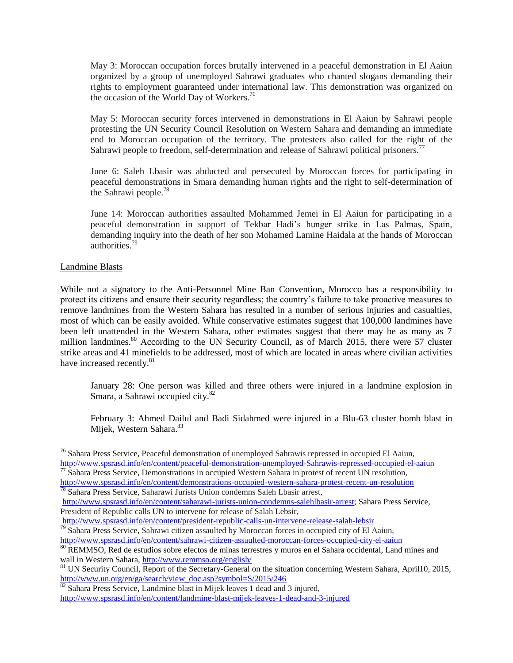May 3: Moroccan occupation forces brutally intervened in a peaceful demonstration in El Aaiun organized by a group of unemployed Sahrawi graduates who chanted slogans demanding their rights to employment guaranteed under international law. This demonstration was organized on the occasion of the World Day of Workers.<sup>76</sup>

May 5: Moroccan security forces intervened in demonstrations in El Aaiun by Sahrawi people protesting the UN Security Council Resolution on Western Sahara and demanding an immediate end to Moroccan occupation of the territory. The protesters also called for the right of the Sahrawi people to freedom, self-determination and release of Sahrawi political prisoners.<sup>7</sup>

June 6: Saleh Lbasir was abducted and persecuted by Moroccan forces for participating in peaceful demonstrations in Smara demanding human rights and the right to self-determination of the Sahrawi people.<sup>78</sup>

June 14: Moroccan authorities assaulted Mohammed Jemei in El Aaiun for participating in a peaceful demonstration in support of Tekbar Hadi's hunger strike in Las Palmas, Spain, demanding inquiry into the death of her son Mohamed Lamine Haidala at the hands of Moroccan authorities.<sup>79</sup>

#### Landmine Blasts

 $\overline{a}$ 

While not a signatory to the Anti-Personnel Mine Ban Convention, Morocco has a responsibility to protect its citizens and ensure their security regardless; the country's failure to take proactive measures to remove landmines from the Western Sahara has resulted in a number of serious injuries and casualties, most of which can be easily avoided. While conservative estimates suggest that 100,000 landmines have been left unattended in the Western Sahara, other estimates suggest that there may be as many as 7 million landmines.<sup>80</sup> According to the UN Security Council, as of March 2015, there were 57 cluster strike areas and 41 minefields to be addressed, most of which are located in areas where civilian activities have increased recently.<sup>81</sup>

January 28: One person was killed and three others were injured in a landmine explosion in Smara, a Sahrawi occupied city.<sup>82</sup>

February 3: Ahmed Dailul and Badi Sidahmed were injured in a Blu-63 cluster bomb blast in Mijek, Western Sahara.<sup>83</sup>

<sup>&</sup>lt;sup>76</sup> Sahara Press Service, Peaceful demonstration of unemployed Sahrawis repressed in occupied El Aaiun, [http://www.spsrasd.info/en/content/peaceful-demonstration-unemployed-Sahrawis-repressed-occupied-el-aaiun](http://www.spsrasd.info/en/content/peaceful-demonstration-unemployed-saharawis-repressed-occupied-el-aaiun)

<sup>&</sup>lt;sup>77</sup> Sahara Press Service, Demonstrations in occupied Western Sahara in protest of recent UN resolution, <http://www.spsrasd.info/en/content/demonstrations-occupied-western-sahara-protest-recent-un-resolution>

<sup>78</sup> Sahara Press Service, Saharawi Jurists Union condemns Saleh Lbasir arrest,

[http://www.spsrasd.info/en/content/saharawi-jurists-union-condemns-salehlbasir-arrest;](http://www.spsrasd.info/en/content/saharawi-jurists-union-condemns-salehlbasir-arrest) Sahara Press Service, President of Republic calls UN to intervene for release of Salah Lebsir,

<http://www.spsrasd.info/en/content/president-republic-calls-un-intervene-release-salah-lebsir>

<sup>&</sup>lt;sup>79</sup> Sahara Press Service, Sahrawi citizen assaulted by Moroccan forces in occupied city of El Aaiun, <http://www.spsrasd.info/en/content/sahrawi-citizen-assaulted-moroccan-forces-occupied-city-el-aaiun>

<sup>80</sup> REMMSO, Red de estudios sobre efectos de minas terrestres y muros en el Sahara occidental, Land mines and wall in Western Sahara,<http://www.remmso.org/english/>

<sup>&</sup>lt;sup>81</sup> UN Security Council, Report of the Secretary-General on the situation concerning Western Sahara, April10, 2015, [http://www.un.org/en/ga/search/view\\_doc.asp?symbol=S/2015/246](http://www.un.org/en/ga/search/view_doc.asp?symbol=S/2015/246)

 $82$  Sahara Press Service, Landmine blast in Mijek leaves 1 dead and 3 injured, <http://www.spsrasd.info/en/content/landmine-blast-mijek-leaves-1-dead-and-3-injured>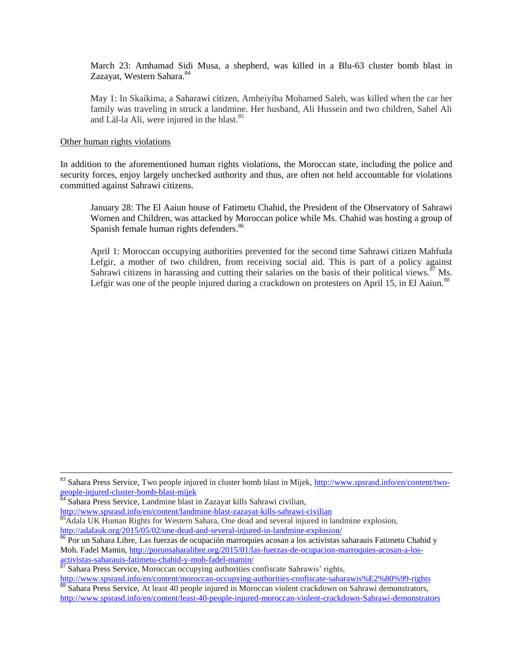March 23: Amhamad Sidi Musa, a shepherd, was killed in a Blu-63 cluster bomb blast in Zazayat, Western Sahara.<sup>84</sup>

May 1: In Skaikima, a Saharawi citizen, Amheiyiba Mohamed Saleh, was killed when the car her family was traveling in struck a landmine. Her husband, Ali Hussein and two children, Sahel Ali and Làl-la Ali, were injured in the blast.<sup>85</sup>

#### Other human rights violations

 $\overline{a}$ 

In addition to the aforementioned human rights violations, the Moroccan state, including the police and security forces, enjoy largely unchecked authority and thus, are often not held accountable for violations committed against Sahrawi citizens.

January 28: The El Aaiun house of Fatimetu Chahid, the President of the Observatory of Sahrawi Women and Children, was attacked by Moroccan police while Ms. Chahid was hosting a group of Spanish female human rights defenders.<sup>86</sup>

April 1: Moroccan occupying authorities prevented for the second time Sahrawi citizen Mahfuda Lefgir, a mother of two children, from receiving social aid. This is part of a policy against Sahrawi citizens in harassing and cutting their salaries on the basis of their political views.<sup>87</sup> Ms. Lefgir was one of the people injured during a crackdown on protesters on April 15, in El Aaiun.<sup>88</sup>

<sup>84</sup> Sahara Press Service, Landmine blast in Zazayat kills Sahrawi civilian,

<http://www.spsrasd.info/en/content/landmine-blast-zazayat-kills-sahrawi-civilian> <sup>85</sup>Adala UK Human Rights for Western Sahara, One dead and several injured in landmine explosion, <http://adalauk.org/2015/05/02/one-dead-and-several-injured-in-landmine-explosion/>

<http://www.spsrasd.info/en/content/moroccan-occupying-authorities-confiscate-saharawis%E2%80%99-rights> 88 Sahara Press Service, At least 40 people injured in Moroccan violent crackdown on Sahrawi demonstrators,

<sup>&</sup>lt;sup>83</sup> Sahara Press Service, Two people injured in cluster bomb blast in Mijek, [http://www.spsrasd.info/en/content/two](http://www.spsrasd.info/en/content/two-people-injured-cluster-bomb-blast-mijek)[people-injured-cluster-bomb-blast-mijek](http://www.spsrasd.info/en/content/two-people-injured-cluster-bomb-blast-mijek)

<sup>&</sup>lt;sup>86</sup> Por un Sahara Libre, Las fuerzas de ocupación marroquíes acosan a los activistas saharauis Fatimetu Chahid y Moh. Fadel Mamin, [http://porunsaharalibre.org/2015/01/las-fuerzas-de-ocupacion-marroquies-acosan-a-los](http://porunsaharalibre.org/2015/01/las-fuerzas-de-ocupacion-marroquies-acosan-a-los-activistas-saharauis-fatimetu-chahid-y-moh-fadel-mamin/)[activistas-saharauis-fatimetu-chahid-y-moh-fadel-mamin/](http://porunsaharalibre.org/2015/01/las-fuerzas-de-ocupacion-marroquies-acosan-a-los-activistas-saharauis-fatimetu-chahid-y-moh-fadel-mamin/)

<sup>&</sup>lt;sup>87</sup> Sahara Press Service, Moroccan occupying authorities confiscate Sahrawis' rights,

[http://www.spsrasd.info/en/content/least-40-people-injured-moroccan-violent-crackdown-Sahrawi-demonstrators](http://www.spsrasd.info/en/content/least-40-people-injured-moroccan-violent-crackdown-saharawi-demonstrators)